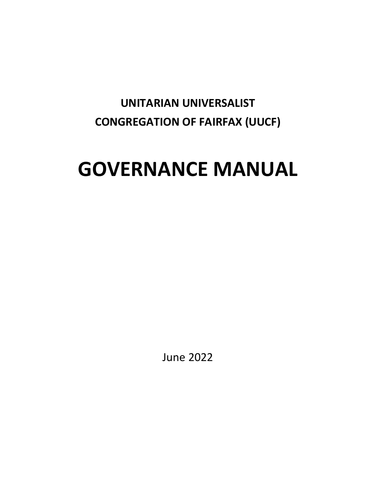# **UNITARIAN UNIVERSALIST CONGREGATION OF FAIRFAX (UUCF)**

# **GOVERNANCE MANUAL**

June 2022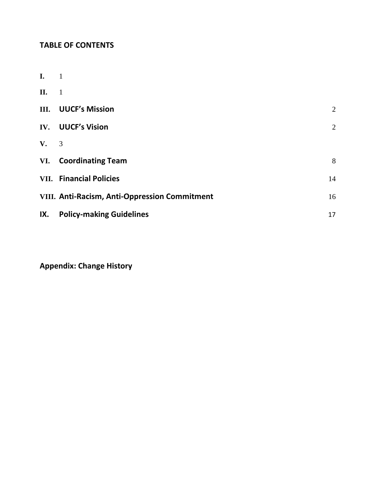# **TABLE OF CONTENTS**

| $\mathbf{I}$ . | -1                                            |                |
|----------------|-----------------------------------------------|----------------|
| II.            | $\overline{1}$                                |                |
| III.           | <b>UUCF's Mission</b>                         | 2              |
| IV.            | <b>UUCF's Vision</b>                          | $\overline{2}$ |
| V.             | 3                                             |                |
| VI.            | <b>Coordinating Team</b>                      | 8              |
|                | <b>VII.</b> Financial Policies                | 14             |
|                | VIII. Anti-Racism, Anti-Oppression Commitment | 16             |
| IX.            | <b>Policy-making Guidelines</b>               | 17             |

**Appendix: Change History**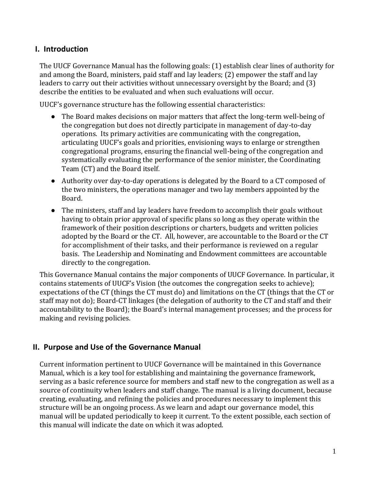# <span id="page-2-0"></span>**I. Introduction**

The UUCF Governance Manual has the following goals: (1) establish clear lines of authority for and among the Board, ministers, paid staff and lay leaders; (2) empower the staff and lay leaders to carry out their activities without unnecessary oversight by the Board; and (3) describe the entities to be evaluated and when such evaluations will occur.

UUCF's governance structure has the following essential characteristics:

- The Board makes decisions on major matters that affect the long-term well-being of the congregation but does not directly participate in management of day-to-day operations. Its primary activities are communicating with the congregation, articulating UUCF's goals and priorities, envisioning ways to enlarge or strengthen congregational programs, ensuring the financial well-being of the congregation and systematically evaluating the performance of the senior minister, the Coordinating Team (CT) and the Board itself.
- Authority over day-to-day operations is delegated by the Board to a CT composed of the two ministers, the operations manager and two lay members appointed by the Board.
- The ministers, staff and lay leaders have freedom to accomplish their goals without having to obtain prior approval of specific plans so long as they operate within the framework of their position descriptions or charters, budgets and written policies adopted by the Board or the CT. All, however, are accountable to the Board or the CT for accomplishment of their tasks, and their performance is reviewed on a regular basis. The Leadership and Nominating and Endowment committees are accountable directly to the congregation.

This Governance Manual contains the major components of UUCF Governance. In particular, it contains statements of UUCF's Vision (the outcomes the congregation seeks to achieve); expectations of the CT (things the CT must do) and limitations on the CT (things that the CT or staff may not do); Board-CT linkages (the delegation of authority to the CT and staff and their accountability to the Board); the Board's internal management processes; and the process for making and revising policies.

# <span id="page-2-1"></span>**II. Purpose and Use of the Governance Manual**

Current information pertinent to UUCF Governance will be maintained in this Governance Manual, which is a key tool for establishing and maintaining the governance framework, serving as a basic reference source for members and staff new to the congregation as well as a source of continuity when leaders and staff change. The manual is a living document, because creating, evaluating, and refining the policies and procedures necessary to implement this structure will be an ongoing process. As we learn and adapt our governance model, this manual will be updated periodically to keep it current. To the extent possible, each section of this manual will indicate the date on which it was adopted.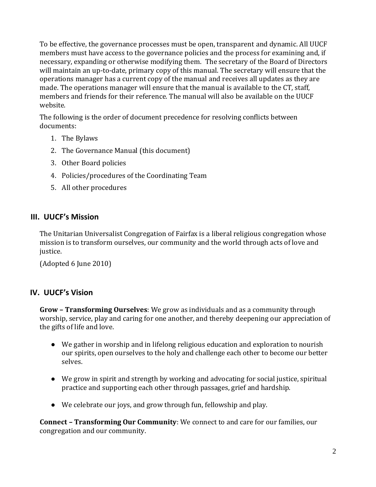To be effective, the governance processes must be open, transparent and dynamic. All UUCF members must have access to the governance policies and the process for examining and, if necessary, expanding or otherwise modifying them. The secretary of the Board of Directors will maintain an up-to-date, primary copy of this manual. The secretary will ensure that the operations manager has a current copy of the manual and receives all updates as they are made. The operations manager will ensure that the manual is available to the CT, staff, members and friends for their reference. The manual will also be available on the UUCF website.

The following is the order of document precedence for resolving conflicts between documents:

- 1. The Bylaws
- 2. The Governance Manual (this document)
- 3. Other Board policies
- 4. Policies/procedures of the Coordinating Team
- 5. All other procedures

#### <span id="page-3-0"></span>**III. UUCF's Mission**

The Unitarian Universalist Congregation of Fairfax is a liberal religious congregation whose mission is to transform ourselves, our community and the world through acts of love and justice.

(Adopted 6 June 2010)

# <span id="page-3-1"></span>**IV. UUCF's Vision**

**Grow – Transforming Ourselves**: We grow as individuals and as a community through worship, service, play and caring for one another, and thereby deepening our appreciation of the gifts of life and love.

- We gather in worship and in lifelong religious education and exploration to nourish our spirits, open ourselves to the holy and challenge each other to become our better selves.
- We grow in spirit and strength by working and advocating for social justice, spiritual practice and supporting each other through passages, grief and hardship.
- We celebrate our joys, and grow through fun, fellowship and play.

**Connect – Transforming Our Community**: We connect to and care for our families, our congregation and our community.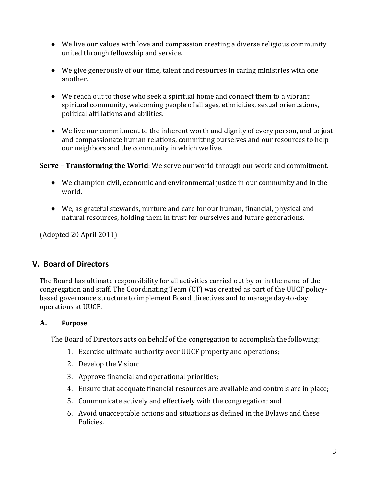- We live our values with love and compassion creating a diverse religious community united through fellowship and service.
- We give generously of our time, talent and resources in caring ministries with one another.
- We reach out to those who seek a spiritual home and connect them to a vibrant spiritual community, welcoming people of all ages, ethnicities, sexual orientations, political affiliations and abilities.
- We live our commitment to the inherent worth and dignity of every person, and to just and compassionate human relations, committing ourselves and our resources to help our neighbors and the community in which we live.

# **Serve – Transforming the World**: We serve our world through our work and commitment.

- We champion civil, economic and environmental justice in our community and in the world.
- We, as grateful stewards, nurture and care for our human, financial, physical and natural resources, holding them in trust for ourselves and future generations.

(Adopted 20 April 2011)

# <span id="page-4-0"></span>**V. Board of Directors**

The Board has ultimate responsibility for all activities carried out by or in the name of the congregation and staff. The Coordinating Team (CT) was created as part of the UUCF policybased governance structure to implement Board directives and to manage day-to-day operations at UUCF.

# **A. Purpose**

The Board of Directors acts on behalf of the congregation to accomplish the following:

- 1. Exercise ultimate authority over UUCF property and operations;
- 2. Develop the Vision;
- 3. Approve financial and operational priorities;
- 4. Ensure that adequate financial resources are available and controls are in place;
- 5. Communicate actively and effectively with the congregation; and
- 6. Avoid unacceptable actions and situations as defined in the Bylaws and these Policies.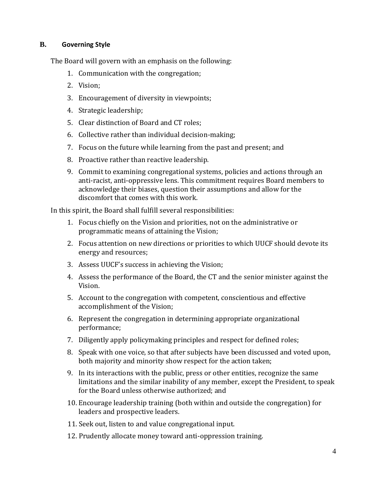#### **B. Governing Style**

The Board will govern with an emphasis on the following:

- 1. Communication with the congregation;
- 2. Vision;
- 3. Encouragement of diversity in viewpoints;
- 4. Strategic leadership;
- 5. Clear distinction of Board and CT roles;
- 6. Collective rather than individual decision-making;
- 7. Focus on the future while learning from the past and present; and
- 8. Proactive rather than reactive leadership.
- 9. Commit to examining congregational systems, policies and actions through an anti-racist, anti-oppressive lens. This commitment requires Board members to acknowledge their biases, question their assumptions and allow for the discomfort that comes with this work.

In this spirit, the Board shall fulfill several responsibilities:

- 1. Focus chiefly on the Vision and priorities, not on the administrative or programmatic means of attaining the Vision;
- 2. Focus attention on new directions or priorities to which UUCF should devote its energy and resources;
- 3. Assess UUCF's success in achieving the Vision;
- 4. Assess the performance of the Board, the CT and the senior minister against the Vision.
- 5. Account to the congregation with competent, conscientious and effective accomplishment of the Vision;
- 6. Represent the congregation in determining appropriate organizational performance;
- 7. Diligently apply policymaking principles and respect for defined roles;
- 8. Speak with one voice, so that after subjects have been discussed and voted upon, both majority and minority show respect for the action taken;
- 9. In its interactions with the public, press or other entities, recognize the same limitations and the similar inability of any member, except the President, to speak for the Board unless otherwise authorized; and
- 10. Encourage leadership training (both within and outside the congregation) for leaders and prospective leaders.
- 11. Seek out, listen to and value congregational input.
- 12. Prudently allocate money toward anti-oppression training.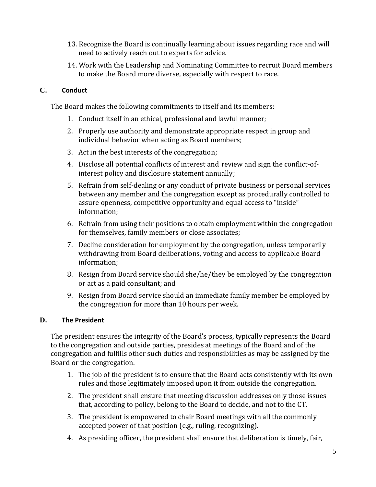- 13. Recognize the Board is continually learning about issues regarding race and will need to actively reach out to experts for advice.
- 14. Work with the Leadership and Nominating Committee to recruit Board members to make the Board more diverse, especially with respect to race.

# **C. Conduct**

The Board makes the following commitments to itself and its members:

- 1. Conduct itself in an ethical, professional and lawful manner;
- 2. Properly use authority and demonstrate appropriate respect in group and individual behavior when acting as Board members;
- 3. Act in the best interests of the congregation;
- 4. Disclose all potential conflicts of interest and review and sign the conflict-ofinterest policy and disclosure statement annually;
- 5. Refrain from self-dealing or any conduct of private business or personal services between any member and the congregation except as procedurally controlled to assure openness, competitive opportunity and equal access to "inside" information;
- 6. Refrain from using their positions to obtain employment within the congregation for themselves, family members or close associates;
- 7. Decline consideration for employment by the congregation, unless temporarily withdrawing from Board deliberations, voting and access to applicable Board information;
- 8. Resign from Board service should she/he/they be employed by the congregation or act as a paid consultant; and
- 9. Resign from Board service should an immediate family member be employed by the congregation for more than 10 hours per week.

#### **D. The President**

The president ensures the integrity of the Board's process, typically represents the Board to the congregation and outside parties, presides at meetings of the Board and of the congregation and fulfills other such duties and responsibilities as may be assigned by the Board or the congregation.

- 1. The job of the president is to ensure that the Board acts consistently with its own rules and those legitimately imposed upon it from outside the congregation.
- 2. The president shall ensure that meeting discussion addresses only those issues that, according to policy, belong to the Board to decide, and not to the CT.
- 3. The president is empowered to chair Board meetings with all the commonly accepted power of that position (e.g., ruling, recognizing).
- 4. As presiding officer, the president shall ensure that deliberation is timely, fair,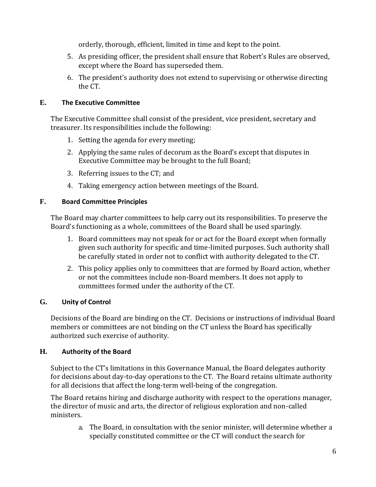orderly, thorough, efficient, limited in time and kept to the point.

- 5. As presiding officer, the president shall ensure that Robert's Rules are observed, except where the Board has superseded them.
- 6. The president's authority does not extend to supervising or otherwise directing the CT.

# **E. The Executive Committee**

The Executive Committee shall consist of the president, vice president, secretary and treasurer. Its responsibilities include the following:

- 1. Setting the agenda for every meeting;
- 2. Applying the same rules of decorum as the Board's except that disputes in Executive Committee may be brought to the full Board;
- 3. Referring issues to the CT; and
- 4. Taking emergency action between meetings of the Board.

# **F. Board Committee Principles**

The Board may charter committees to help carry out its responsibilities. To preserve the Board's functioning as a whole, committees of the Board shall be used sparingly.

- 1. Board committees may not speak for or act for the Board except when formally given such authority for specific and time-limited purposes. Such authority shall be carefully stated in order not to conflict with authority delegated to the CT.
- 2. This policy applies only to committees that are formed by Board action, whether or not the committees include non-Board members. It does not apply to committees formed under the authority of the CT.

# **G. Unity of Control**

Decisions of the Board are binding on the CT. Decisions or instructions of individual Board members or committees are not binding on the CT unless the Board has specifically authorized such exercise of authority.

# **H. Authority of the Board**

Subject to the CT's limitations in this Governance Manual, the Board delegates authority for decisions about day-to-day operations to the CT. The Board retains ultimate authority for all decisions that affect the long-term well-being of the congregation.

The Board retains hiring and discharge authority with respect to the operations manager, the director of music and arts, the director of religious exploration and non-called ministers.

a. The Board, in consultation with the senior minister, will determine whether a specially constituted committee or the CT will conduct the search for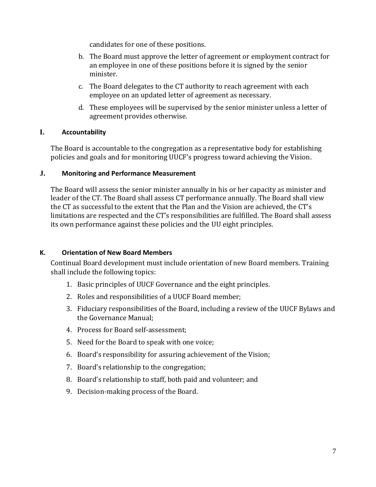candidates for one of these positions.

- b. The Board must approve the letter of agreement or employment contract for an employee in one of these positions before it is signed by the senior minister.
- c. The Board delegates to the CT authority to reach agreement with each employee on an updated letter of agreement as necessary.
- d. These employees will be supervised by the senior minister unless a letter of agreement provides otherwise.

#### **I. Accountability**

The Board is accountable to the congregation as a representative body for establishing policies and goals and for monitoring UUCF's progress toward achieving the Vision.

#### **J. Monitoring and Performance Measurement**

The Board will assess the senior minister annually in his or her capacity as minister and leader of the CT. The Board shall assess CT performance annually. The Board shall view the CT as successful to the extent that the Plan and the Vision are achieved, the CT's limitations are respected and the CT's responsibilities are fulfilled. The Board shall assess its own performance against these policies and the UU eight principles.

# **K. Orientation of New Board Members**

Continual Board development must include orientation of new Board members. Training shall include the following topics:

- 1. Basic principles of UUCF Governance and the eight principles.
- 2. Roles and responsibilities of a UUCF Board member;
- 3. Fiduciary responsibilities of the Board, including a review of the UUCF Bylaws and the Governance Manual;
- 4. Process for Board self-assessment;
- 5. Need for the Board to speak with one voice;
- 6. Board's responsibility for assuring achievement of the Vision;
- 7. Board's relationship to the congregation;
- 8. Board's relationship to staff, both paid and volunteer; and
- 9. Decision-making process of the Board.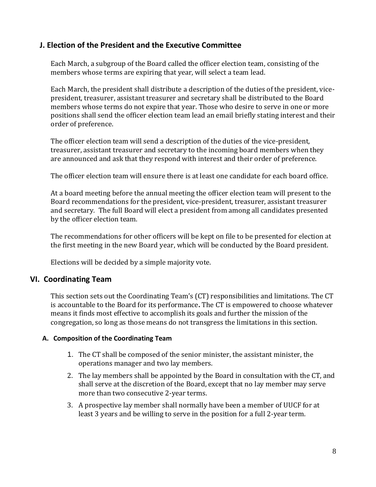# **J. Election of the President and the Executive Committee**

Each March, a subgroup of the Board called the officer election team, consisting of the members whose terms are expiring that year, will select a team lead.

Each March, the president shall distribute a description of the duties of the president, vicepresident, treasurer, assistant treasurer and secretary shall be distributed to the Board members whose terms do not expire that year. Those who desire to serve in one or more positions shall send the officer election team lead an email briefly stating interest and their order of preference.

The officer election team will send a description of the duties of the vice-president, treasurer, assistant treasurer and secretary to the incoming board members when they are announced and ask that they respond with interest and their order of preference.

The officer election team will ensure there is at least one candidate for each board office.

At a board meeting before the annual meeting the officer election team will present to the Board recommendations for the president, vice-president, treasurer, assistant treasurer and secretary*.* The full Board will elect a president from among all candidates presented by the officer election team.

The recommendations for other officers will be kept on file to be presented for election at the first meeting in the new Board year, which will be conducted by the Board president.

Elections will be decided by a simple majority vote.

# <span id="page-9-0"></span>**VI. Coordinating Team**

This section sets out the Coordinating Team's (CT) responsibilities and limitations. The CT is accountable to the Board for its performance**.** The CT is empowered to choose whatever means it finds most effective to accomplish its goals and further the mission of the congregation, so long as those means do not transgress the limitations in this section.

#### **A. Composition of the Coordinating Team**

- 1. The CT shall be composed of the senior minister, the assistant minister, the operations manager and two lay members.
- 2. The lay members shall be appointed by the Board in consultation with the CT, and shall serve at the discretion of the Board, except that no lay member may serve more than two consecutive 2-year terms.
- 3. A prospective lay member shall normally have been a member of UUCF for at least 3 years and be willing to serve in the position for a full 2-year term.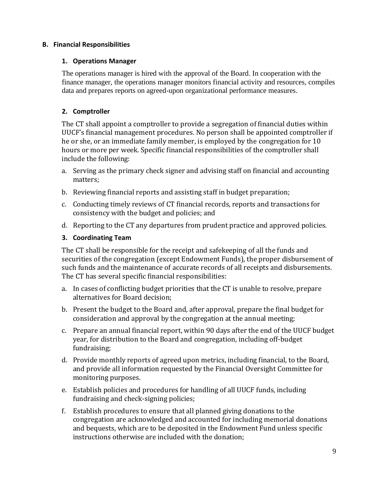#### **B. Financial Responsibilities**

#### **1. Operations Manager**

The operations manager is hired with the approval of the Board. In cooperation with the finance manager, the operations manager monitors financial activity and resources, compiles data and prepares reports on agreed-upon organizational performance measures.

#### **2. Comptroller**

The CT shall appoint a comptroller to provide a segregation of financial duties within UUCF's financial management procedures. No person shall be appointed comptroller if he or she, or an immediate family member, is employed by the congregation for 10 hours or more per week. Specific financial responsibilities of the comptroller shall include the following:

- a. Serving as the primary check signer and advising staff on financial and accounting matters;
- b. Reviewing financial reports and assisting staff in budget preparation;
- c. Conducting timely reviews of CT financial records, reports and transactions for consistency with the budget and policies; and
- d. Reporting to the CT any departures from prudent practice and approved policies.

#### **3. Coordinating Team**

The CT shall be responsible for the receipt and safekeeping of all the funds and securities of the congregation (except Endowment Funds), the proper disbursement of such funds and the maintenance of accurate records of all receipts and disbursements. The CT has several specific financial responsibilities:

- a. In cases of conflicting budget priorities that the CT is unable to resolve, prepare alternatives for Board decision;
- b. Present the budget to the Board and, after approval, prepare the final budget for consideration and approval by the congregation at the annual meeting;
- c. Prepare an annual financial report, within 90 days after the end of the UUCF budget year, for distribution to the Board and congregation, including off-budget fundraising;
- d. Provide monthly reports of agreed upon metrics, including financial, to the Board, and provide all information requested by the Financial Oversight Committee for monitoring purposes.
- e. Establish policies and procedures for handling of all UUCF funds, including fundraising and check-signing policies;
- f. Establish procedures to ensure that all planned giving donations to the congregation are acknowledged and accounted for including memorial donations and bequests, which are to be deposited in the Endowment Fund unless specific instructions otherwise are included with the donation;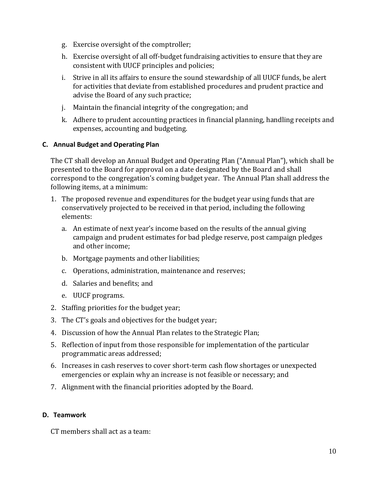- g. Exercise oversight of the comptroller;
- h. Exercise oversight of all off-budget fundraising activities to ensure that they are consistent with UUCF principles and policies;
- i. Strive in all its affairs to ensure the sound stewardship of all UUCF funds, be alert for activities that deviate from established procedures and prudent practice and advise the Board of any such practice;
- j. Maintain the financial integrity of the congregation; and
- k. Adhere to prudent accounting practices in financial planning, handling receipts and expenses, accounting and budgeting.

#### **C. Annual Budget and Operating Plan**

The CT shall develop an Annual Budget and Operating Plan ("Annual Plan"), which shall be presented to the Board for approval on a date designated by the Board and shall correspond to the congregation's coming budget year. The Annual Plan shall address the following items, at a minimum:

- 1. The proposed revenue and expenditures for the budget year using funds that are conservatively projected to be received in that period, including the following elements:
	- a. An estimate of next year's income based on the results of the annual giving campaign and prudent estimates for bad pledge reserve, post campaign pledges and other income;
	- b. Mortgage payments and other liabilities;
	- c. Operations, administration, maintenance and reserves;
	- d. Salaries and benefits; and
	- e. UUCF programs.
- 2. Staffing priorities for the budget year;
- 3. The CT's goals and objectives for the budget year;
- 4. Discussion of how the Annual Plan relates to the Strategic Plan;
- 5. Reflection of input from those responsible for implementation of the particular programmatic areas addressed;
- 6. Increases in cash reserves to cover short-term cash flow shortages or unexpected emergencies or explain why an increase is not feasible or necessary; and
- 7. Alignment with the financial priorities adopted by the Board.

#### **D. Teamwork**

CT members shall act as a team: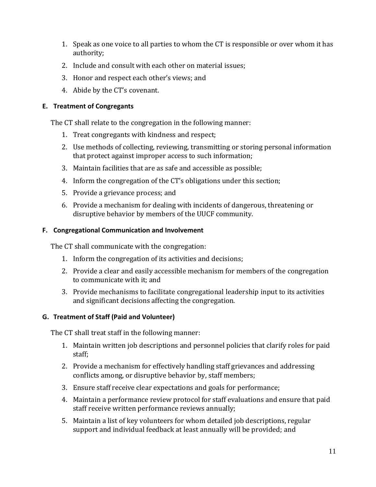- 1. Speak as one voice to all parties to whom the CT is responsible or over whom it has authority;
- 2. Include and consult with each other on material issues;
- 3. Honor and respect each other's views; and
- 4. Abide by the CT's covenant.

#### **E. Treatment of Congregants**

The CT shall relate to the congregation in the following manner:

- 1. Treat congregants with kindness and respect;
- 2. Use methods of collecting, reviewing, transmitting or storing personal information that protect against improper access to such information;
- 3. Maintain facilities that are as safe and accessible as possible;
- 4. Inform the congregation of the CT's obligations under this section;
- 5. Provide a grievance process; and
- 6. Provide a mechanism for dealing with incidents of dangerous, threatening or disruptive behavior by members of the UUCF community.

#### **F. Congregational Communication and Involvement**

The CT shall communicate with the congregation:

- 1. Inform the congregation of its activities and decisions;
- 2. Provide a clear and easily accessible mechanism for members of the congregation to communicate with it; and
- 3. Provide mechanisms to facilitate congregational leadership input to its activities and significant decisions affecting the congregation.

# **G. Treatment of Staff (Paid and Volunteer)**

The CT shall treat staff in the following manner:

- 1. Maintain written job descriptions and personnel policies that clarify roles for paid staff;
- 2. Provide a mechanism for effectively handling staff grievances and addressing conflicts among, or disruptive behavior by, staff members;
- 3. Ensure staff receive clear expectations and goals for performance;
- 4. Maintain a performance review protocol for staff evaluations and ensure that paid staff receive written performance reviews annually;
- 5. Maintain a list of key volunteers for whom detailed job descriptions, regular support and individual feedback at least annually will be provided; and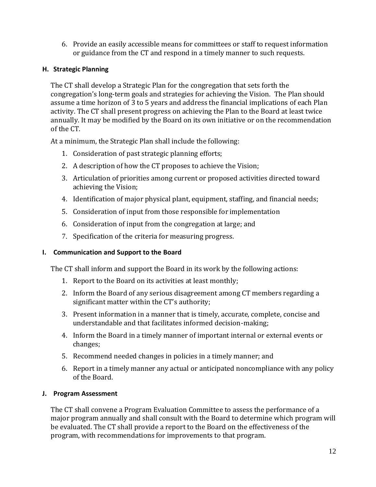6. Provide an easily accessible means for committees or staff to request information or guidance from the CT and respond in a timely manner to such requests.

# **H. Strategic Planning**

The CT shall develop a Strategic Plan for the congregation that sets forth the congregation's long-term goals and strategies for achieving the Vision. The Plan should assume a time horizon of 3 to 5 years and address the financial implications of each Plan activity. The CT shall present progress on achieving the Plan to the Board at least twice annually. It may be modified by the Board on its own initiative or on the recommendation of the CT.

At a minimum, the Strategic Plan shall include the following:

- 1. Consideration of past strategic planning efforts;
- 2. A description of how the CT proposes to achieve the Vision;
- 3. Articulation of priorities among current or proposed activities directed toward achieving the Vision;
- 4. Identification of major physical plant, equipment, staffing, and financial needs;
- 5. Consideration of input from those responsible for implementation
- 6. Consideration of input from the congregation at large; and
- 7. Specification of the criteria for measuring progress.

# **I. Communication and Support to the Board**

The CT shall inform and support the Board in its work by the following actions:

- 1. Report to the Board on its activities at least monthly;
- 2. Inform the Board of any serious disagreement among CT members regarding a significant matter within the CT's authority;
- 3. Present information in a manner that is timely, accurate, complete, concise and understandable and that facilitates informed decision-making;
- 4. Inform the Board in a timely manner of important internal or external events or changes;
- 5. Recommend needed changes in policies in a timely manner; and
- 6. Report in a timely manner any actual or anticipated noncompliance with any policy of the Board.

# **J. Program Assessment**

The CT shall convene a Program Evaluation Committee to assess the performance of a major program annually and shall consult with the Board to determine which program will be evaluated. The CT shall provide a report to the Board on the effectiveness of the program, with recommendations for improvements to that program.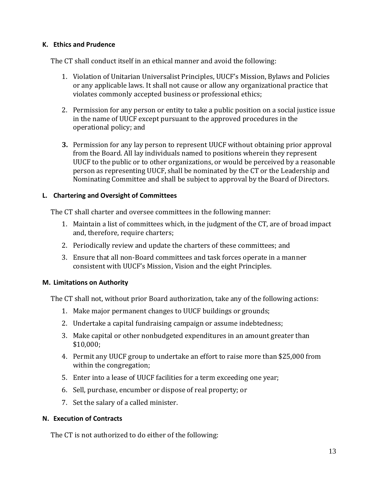#### **K. Ethics and Prudence**

The CT shall conduct itself in an ethical manner and avoid the following:

- 1. Violation of Unitarian Universalist Principles, UUCF's Mission, Bylaws and Policies or any applicable laws. It shall not cause or allow any organizational practice that violates commonly accepted business or professional ethics;
- 2. Permission for any person or entity to take a public position on a social justice issue in the name of UUCF except pursuant to the approved procedures in the operational policy; and
- **3.** Permission for any lay person to represent UUCF without obtaining prior approval from the Board. All lay individuals named to positions wherein they represent UUCF to the public or to other organizations, or would be perceived by a reasonable person as representing UUCF, shall be nominated by the CT or the Leadership and Nominating Committee and shall be subject to approval by the Board of Directors.

#### **L. Chartering and Oversight of Committees**

The CT shall charter and oversee committees in the following manner:

- 1. Maintain a list of committees which, in the judgment of the CT, are of broad impact and, therefore, require charters;
- 2. Periodically review and update the charters of these committees; and
- 3. Ensure that all non-Board committees and task forces operate in a manner consistent with UUCF's Mission, Vision and the eight Principles.

#### **M. Limitations on Authority**

The CT shall not, without prior Board authorization, take any of the following actions:

- 1. Make major permanent changes to UUCF buildings or grounds;
- 2. Undertake a capital fundraising campaign or assume indebtedness;
- 3. Make capital or other nonbudgeted expenditures in an amount greater than \$10,000;
- 4. Permit any UUCF group to undertake an effort to raise more than \$25,000 from within the congregation;
- 5. Enter into a lease of UUCF facilities for a term exceeding one year;
- 6. Sell, purchase, encumber or dispose of real property; or
- 7. Set the salary of a called minister.

#### **N. Execution of Contracts**

The CT is not authorized to do either of the following: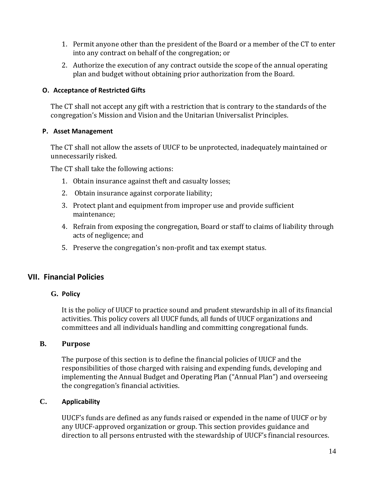- 1. Permit anyone other than the president of the Board or a member of the CT to enter into any contract on behalf of the congregation; or
- 2. Authorize the execution of any contract outside the scope of the annual operating plan and budget without obtaining prior authorization from the Board.

#### **O. Acceptance of Restricted Gifts**

The CT shall not accept any gift with a restriction that is contrary to the standards of the congregation's Mission and Vision and the Unitarian Universalist Principles.

#### **P. Asset Management**

The CT shall not allow the assets of UUCF to be unprotected, inadequately maintained or unnecessarily risked.

The CT shall take the following actions:

- 1. Obtain insurance against theft and casualty losses;
- 2. Obtain insurance against corporate liability;
- 3. Protect plant and equipment from improper use and provide sufficient maintenance;
- 4. Refrain from exposing the congregation, Board or staff to claims of liability through acts of negligence; and
- 5. Preserve the congregation's non-profit and tax exempt status.

# <span id="page-15-0"></span>**VII. Financial Policies**

#### **G. Policy**

It is the policy of UUCF to practice sound and prudent stewardship in all of its financial activities. This policy covers all UUCF funds, all funds of UUCF organizations and committees and all individuals handling and committing congregational funds.

#### **B. Purpose**

The purpose of this section is to define the financial policies of UUCF and the responsibilities of those charged with raising and expending funds, developing and implementing the Annual Budget and Operating Plan ("Annual Plan") and overseeing the congregation's financial activities.

#### **C. Applicability**

UUCF's funds are defined as any funds raised or expended in the name of UUCF or by any UUCF-approved organization or group. This section provides guidance and direction to all persons entrusted with the stewardship of UUCF's financial resources.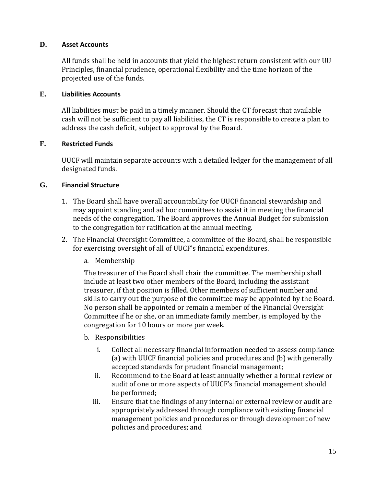#### **D. Asset Accounts**

All funds shall be held in accounts that yield the highest return consistent with our UU Principles, financial prudence, operational flexibility and the time horizon of the projected use of the funds.

#### **E. Liabilities Accounts**

All liabilities must be paid in a timely manner. Should the CT forecast that available cash will not be sufficient to pay all liabilities, the CT is responsible to create a plan to address the cash deficit, subject to approval by the Board.

#### **F. Restricted Funds**

UUCF will maintain separate accounts with a detailed ledger for the management of all designated funds.

#### **G. Financial Structure**

- 1. The Board shall have overall accountability for UUCF financial stewardship and may appoint standing and ad hoc committees to assist it in meeting the financial needs of the congregation. The Board approves the Annual Budget for submission to the congregation for ratification at the annual meeting.
- 2. The Financial Oversight Committee, a committee of the Board, shall be responsible for exercising oversight of all of UUCF's financial expenditures.
	- a. Membership

The treasurer of the Board shall chair the committee. The membership shall include at least two other members of the Board, including the assistant treasurer, if that position is filled. Other members of sufficient number and skills to carry out the purpose of the committee may be appointed by the Board. No person shall be appointed or remain a member of the Financial Oversight Committee if he or she, or an immediate family member, is employed by the congregation for 10 hours or more per week.

- b. Responsibilities
	- i. Collect all necessary financial information needed to assess compliance (a) with UUCF financial policies and procedures and (b) with generally accepted standards for prudent financial management;
	- ii. Recommend to the Board at least annually whether a formal review or audit of one or more aspects of UUCF's financial management should be performed;
	- iii. Ensure that the findings of any internal or external review or audit are appropriately addressed through compliance with existing financial management policies and procedures or through development of new policies and procedures; and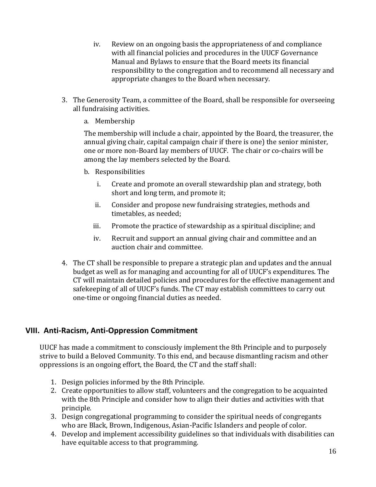- iv. Review on an ongoing basis the appropriateness of and compliance with all financial policies and procedures in the UUCF Governance Manual and Bylaws to ensure that the Board meets its financial responsibility to the congregation and to recommend all necessary and appropriate changes to the Board when necessary.
- 3. The Generosity Team, a committee of the Board, shall be responsible for overseeing all fundraising activities.
	- a. Membership

The membership will include a chair, appointed by the Board, the treasurer, the annual giving chair, capital campaign chair if there is one) the senior minister, one or more non-Board lay members of UUCF. The chair or co-chairs will be among the lay members selected by the Board.

- b. Responsibilities
	- i. Create and promote an overall stewardship plan and strategy, both short and long term, and promote it;
	- ii. Consider and propose new fundraising strategies, methods and timetables, as needed;
	- iii. Promote the practice of stewardship as a spiritual discipline; and
	- iv. Recruit and support an annual giving chair and committee and an auction chair and committee.
- 4. The CT shall be responsible to prepare a strategic plan and updates and the annual budget as well as for managing and accounting for all of UUCF's expenditures. The CT will maintain detailed policies and procedures for the effective management and safekeeping of all of UUCF's funds. The CT may establish committees to carry out one-time or ongoing financial duties as needed.

# <span id="page-17-0"></span>**VIII. Anti-Racism, Anti-Oppression Commitment**

UUCF has made a commitment to consciously implement the 8th Principle and to purposely strive to build a Beloved Community. To this end, and because dismantling racism and other oppressions is an ongoing effort, the Board, the CT and the staff shall:

- 1. Design policies informed by the 8th Principle.
- 2. Create opportunities to allow staff, volunteers and the congregation to be acquainted with the 8th Principle and consider how to align their duties and activities with that principle.
- 3. Design congregational programming to consider the spiritual needs of congregants who are Black, Brown, Indigenous, Asian-Pacific Islanders and people of color.
- 4. Develop and implement accessibility guidelines so that individuals with disabilities can have equitable access to that programming.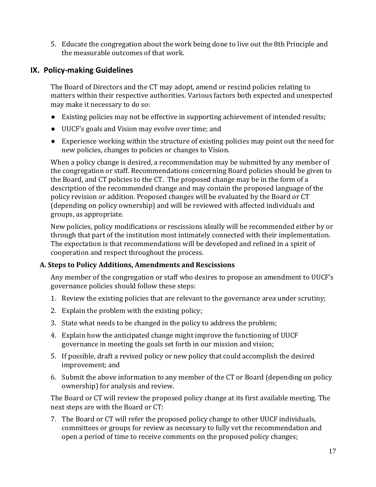5. Educate the congregation about the work being done to live out the 8th Principle and the measurable outcomes of that work.

# <span id="page-18-0"></span>**IX. Policy-making Guidelines**

The Board of Directors and the CT may adopt, amend or rescind policies relating to matters within their respective authorities. Various factors both expected and unexpected may make it necessary to do so:

- Existing policies may not be effective in supporting achievement of intended results;
- UUCF's goals and Vision may evolve over time; and
- Experience working within the structure of existing policies may point out the need for new policies, changes to policies or changes to Vision.

When a policy change is desired, a recommendation may be submitted by any member of the congregation or staff. Recommendations concerning Board policies should be given to the Board, and CT policies to the CT. The proposed change may be in the form of a description of the recommended change and may contain the proposed language of the policy revision or addition. Proposed changes will be evaluated by the Board or CT (depending on policy ownership) and will be reviewed with affected individuals and groups, as appropriate.

New policies, policy modifications or rescissions ideally will be recommended either by or through that part of the institution most intimately connected with their implementation. The expectation is that recommendations will be developed and refined in a spirit of cooperation and respect throughout the process.

# **A. Steps to Policy Additions, Amendments and Rescissions**

Any member of the congregation or staff who desires to propose an amendment to UUCF's governance policies should follow these steps:

- 1. Review the existing policies that are relevant to the governance area under scrutiny;
- 2. Explain the problem with the existing policy;
- 3. State what needs to be changed in the policy to address the problem;
- 4. Explain how the anticipated change might improve the functioning of UUCF governance in meeting the goals set forth in our mission and vision;
- 5. If possible, draft a revised policy or new policy that could accomplish the desired improvement; and
- 6. Submit the above information to any member of the CT or Board (depending on policy ownership) for analysis and review.

The Board or CT will review the proposed policy change at its first available meeting. The next steps are with the Board or CT:

7. The Board or CT will refer the proposed policy change to other UUCF individuals, committees or groups for review as necessary to fully vet the recommendation and open a period of time to receive comments on the proposed policy changes;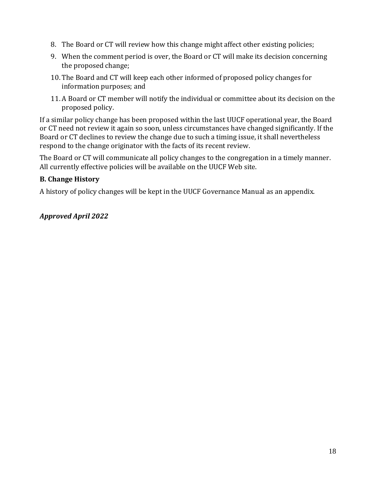- 8. The Board or CT will review how this change might affect other existing policies;
- 9. When the comment period is over, the Board or CT will make its decision concerning the proposed change;
- 10. The Board and CT will keep each other informed of proposed policy changes for information purposes; and
- 11. A Board or CT member will notify the individual or committee about its decision on the proposed policy.

If a similar policy change has been proposed within the last UUCF operational year, the Board or CT need not review it again so soon, unless circumstances have changed significantly. If the Board or CT declines to review the change due to such a timing issue, it shall nevertheless respond to the change originator with the facts of its recent review.

The Board or CT will communicate all policy changes to the congregation in a timely manner. All currently effective policies will be available on the UUCF Web site.

# **B. Change History**

A history of policy changes will be kept in the UUCF Governance Manual as an appendix.

# *Approved April 2022*